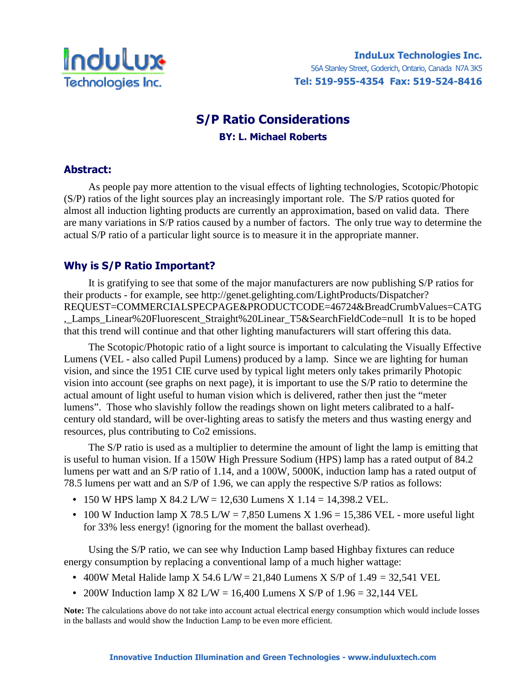

# S/P Ratio Considerations BY: L. Michael Roberts

### Abstract:

 As people pay more attention to the visual effects of lighting technologies, Scotopic/Photopic (S/P) ratios of the light sources play an increasingly important role. The S/P ratios quoted for almost all induction lighting products are currently an approximation, based on valid data. There are many variations in S/P ratios caused by a number of factors. The only true way to determine the actual S/P ratio of a particular light source is to measure it in the appropriate manner.

# Why is S/P Ratio Important?

It is gratifying to see that some of the major manufacturers are now publishing S/P ratios for their products - for example, see http://genet.gelighting.com/LightProducts/Dispatcher? REQUEST=COMMERCIALSPECPAGE&PRODUCTCODE=46724&BreadCrumbValues=CATG ,\_Lamps\_Linear%20Fluorescent\_Straight%20Linear\_T5&SearchFieldCode=null It is to be hoped that this trend will continue and that other lighting manufacturers will start offering this data.

 The Scotopic/Photopic ratio of a light source is important to calculating the Visually Effective Lumens (VEL - also called Pupil Lumens) produced by a lamp. Since we are lighting for human vision, and since the 1951 CIE curve used by typical light meters only takes primarily Photopic vision into account (see graphs on next page), it is important to use the S/P ratio to determine the actual amount of light useful to human vision which is delivered, rather then just the "meter lumens". Those who slavishly follow the readings shown on light meters calibrated to a halfcentury old standard, will be over-lighting areas to satisfy the meters and thus wasting energy and resources, plus contributing to Co2 emissions.

 The S/P ratio is used as a multiplier to determine the amount of light the lamp is emitting that is useful to human vision. If a 150W High Pressure Sodium (HPS) lamp has a rated output of 84.2 lumens per watt and an S/P ratio of 1.14, and a 100W, 5000K, induction lamp has a rated output of 78.5 lumens per watt and an S/P of 1.96, we can apply the respective S/P ratios as follows:

- 150 W HPS lamp X 84.2 L/W = 12,630 Lumens X 1.14 = 14,398.2 VEL.
- 100 W Induction lamp X 78.5 L/W = 7,850 Lumens X 1.96 = 15,386 VEL more useful light for 33% less energy! (ignoring for the moment the ballast overhead).

 Using the S/P ratio, we can see why Induction Lamp based Highbay fixtures can reduce energy consumption by replacing a conventional lamp of a much higher wattage:

- 400W Metal Halide lamp X 54.6 L/W = 21,840 Lumens X S/P of 1.49 = 32,541 VEL
- 200W Induction lamp X 82 L/W = 16,400 Lumens X S/P of  $1.96 = 32,144$  VEL

**Note:** The calculations above do not take into account actual electrical energy consumption which would include losses in the ballasts and would show the Induction Lamp to be even more efficient.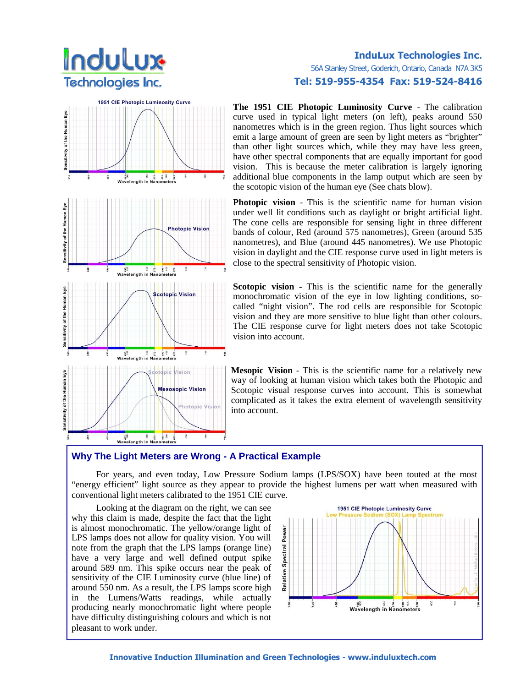

### InduLux Technologies Inc. 56A Stanley Street, Goderich, Ontario, Canada N7A 3K5 Tel: 519-955-4354 Fax: 519-524-8416

**The 1951 CIE Photopic Luminosity Curve** - The calibration curve used in typical light meters (on left), peaks around 550 nanometres which is in the green region. Thus light sources which emit a large amount of green are seen by light meters as "brighter" than other light sources which, while they may have less green, have other spectral components that are equally important for good vision. This is because the meter calibration is largely ignoring additional blue components in the lamp output which are seen by the scotopic vision of the human eye (See chats blow).

**Photopic vision** - This is the scientific name for human vision under well lit conditions such as daylight or bright artificial light. The cone cells are responsible for sensing light in three different bands of colour, Red (around 575 nanometres), Green (around 535 nanometres), and Blue (around 445 nanometres). We use Photopic vision in daylight and the CIE response curve used in light meters is close to the spectral sensitivity of Photopic vision.

**Scotopic vision** - This is the scientific name for the generally monochromatic vision of the eye in low lighting conditions, socalled "night vision". The rod cells are responsible for Scotopic vision and they are more sensitive to blue light than other colours. The CIE response curve for light meters does not take Scotopic vision into account.

**Mesopic Vision** - This is the scientific name for a relatively new way of looking at human vision which takes both the Photopic and Scotopic visual response curves into account. This is somewhat complicated as it takes the extra element of wavelength sensitivity into account.

#### **Why The Light Meters are Wrong - A Practical Example**

 For years, and even today, Low Pressure Sodium lamps (LPS/SOX) have been touted at the most "energy efficient" light source as they appear to provide the highest lumens per watt when measured with conventional light meters calibrated to the 1951 CIE curve.

 Looking at the diagram on the right, we can see why this claim is made, despite the fact that the light is almost monochromatic. The yellow/orange light of LPS lamps does not allow for quality vision. You will note from the graph that the LPS lamps (orange line) have a very large and well defined output spike around 589 nm. This spike occurs near the peak of sensitivity of the CIE Luminosity curve (blue line) of around 550 nm. As a result, the LPS lamps score high in the Lumens/Watts readings, while actually producing nearly monochromatic light where people have difficulty distinguishing colours and which is not pleasant to work under.



Innovative Induction Illumination and Green Technologies - www.induluxtech.com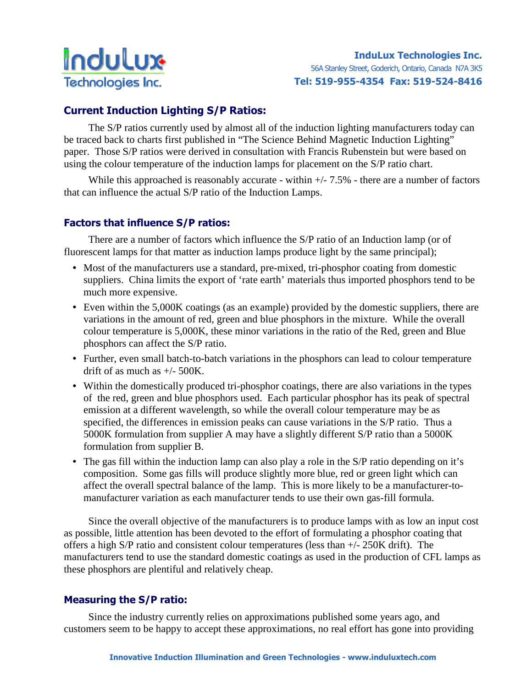

# Current Induction Lighting S/P Ratios:

 The S/P ratios currently used by almost all of the induction lighting manufacturers today can be traced back to charts first published in "The Science Behind Magnetic Induction Lighting" paper. Those S/P ratios were derived in consultation with Francis Rubenstein but were based on using the colour temperature of the induction lamps for placement on the S/P ratio chart.

While this approached is reasonably accurate - within  $+/- 7.5\%$  - there are a number of factors that can influence the actual S/P ratio of the Induction Lamps.

## Factors that influence S/P ratios:

 There are a number of factors which influence the S/P ratio of an Induction lamp (or of fluorescent lamps for that matter as induction lamps produce light by the same principal);

- Most of the manufacturers use a standard, pre-mixed, tri-phosphor coating from domestic suppliers. China limits the export of 'rate earth' materials thus imported phosphors tend to be much more expensive.
- Even within the 5,000K coatings (as an example) provided by the domestic suppliers, there are variations in the amount of red, green and blue phosphors in the mixture. While the overall colour temperature is 5,000K, these minor variations in the ratio of the Red, green and Blue phosphors can affect the S/P ratio.
- Further, even small batch-to-batch variations in the phosphors can lead to colour temperature drift of as much as  $+/- 500$ K.
- Within the domestically produced tri-phosphor coatings, there are also variations in the types of the red, green and blue phosphors used. Each particular phosphor has its peak of spectral emission at a different wavelength, so while the overall colour temperature may be as specified, the differences in emission peaks can cause variations in the S/P ratio. Thus a 5000K formulation from supplier A may have a slightly different S/P ratio than a 5000K formulation from supplier B.
- The gas fill within the induction lamp can also play a role in the S/P ratio depending on it's composition. Some gas fills will produce slightly more blue, red or green light which can affect the overall spectral balance of the lamp. This is more likely to be a manufacturer-tomanufacturer variation as each manufacturer tends to use their own gas-fill formula.

 Since the overall objective of the manufacturers is to produce lamps with as low an input cost as possible, little attention has been devoted to the effort of formulating a phosphor coating that offers a high S/P ratio and consistent colour temperatures (less than +/- 250K drift). The manufacturers tend to use the standard domestic coatings as used in the production of CFL lamps as these phosphors are plentiful and relatively cheap.

## Measuring the S/P ratio:

 Since the industry currently relies on approximations published some years ago, and customers seem to be happy to accept these approximations, no real effort has gone into providing